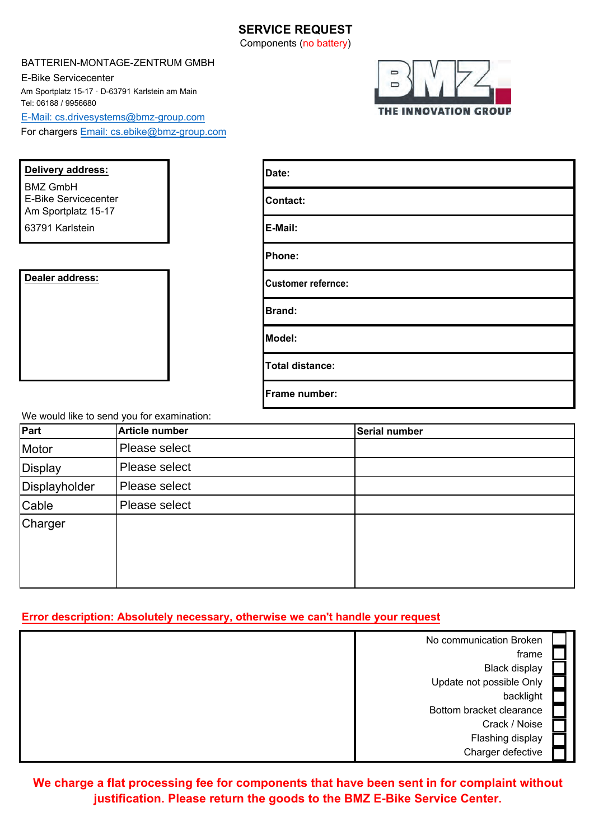#### **SERVICE REQUEST** Components (no battery)

#### BATTERIEN-MONTAGE-ZENTRUM GMBH

E-Bike Servicecenter Am Sportplatz 15-17 · D-63791 Karlstein am Main Tel: 06188 / 9956680 E-Mail: [cs.drivesystems@bmz-group.com](mailto:cs.drivesystems@bmz-group.com) For chargers Email: cs.ebike@bmz-group.com



| Delivery address:                                                     | Date:                     |
|-----------------------------------------------------------------------|---------------------------|
| <b>BMZ GmbH</b><br><b>E-Bike Servicecenter</b><br>Am Sportplatz 15-17 | <b>Contact:</b>           |
| 63791 Karlstein                                                       | E-Mail:                   |
|                                                                       | Phone:                    |
| Dealer address:                                                       | <b>Customer refernce:</b> |
|                                                                       | <b>Brand:</b>             |
|                                                                       | Model:                    |
|                                                                       | <b>Total distance:</b>    |
|                                                                       | Frame number:             |

We would like to send you for examination:

| Part           | Article number | <b>Serial number</b> |
|----------------|----------------|----------------------|
| Motor          | Please select  |                      |
| <b>Display</b> | Please select  |                      |
| Displayholder  | Please select  |                      |
| Cable          | Please select  |                      |
| Charger        |                |                      |

#### **Error description: Absolutely necessary, otherwise we can't handle your request**

| No communication Broken  |  |
|--------------------------|--|
| frame                    |  |
| <b>Black display</b>     |  |
| Update not possible Only |  |
| backlight                |  |
| Bottom bracket clearance |  |
| Crack / Noise            |  |
| Flashing display         |  |
| Charger defective        |  |

**We charge a flat processing fee for components that have been sent in for complaint without justification. Please return the goods to the BMZ E-Bike Service Center.**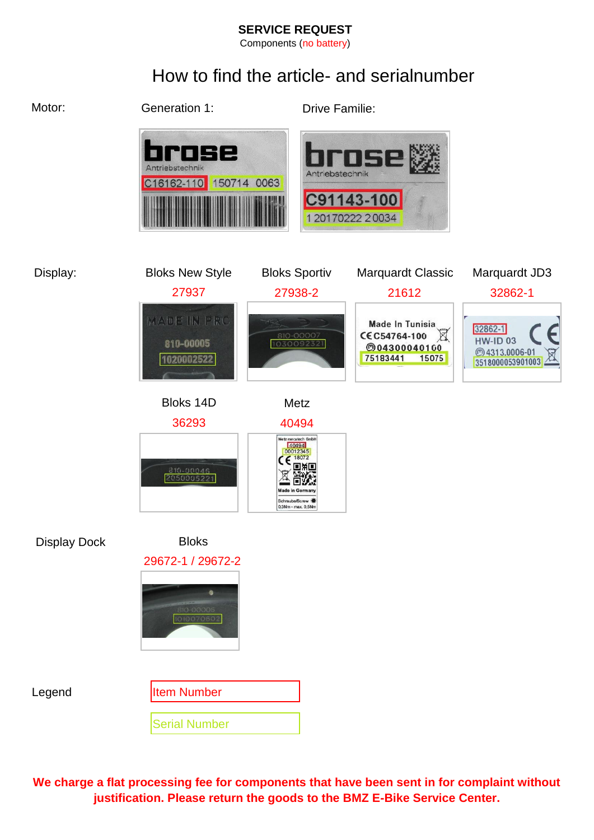#### **SERVICE REQUEST**

Components (no battery)

# How to find the article- and serialnumber



**We charge a flat processing fee for components that have been sent in for complaint without justification. Please return the goods to the BMZ E-Bike Service Center.**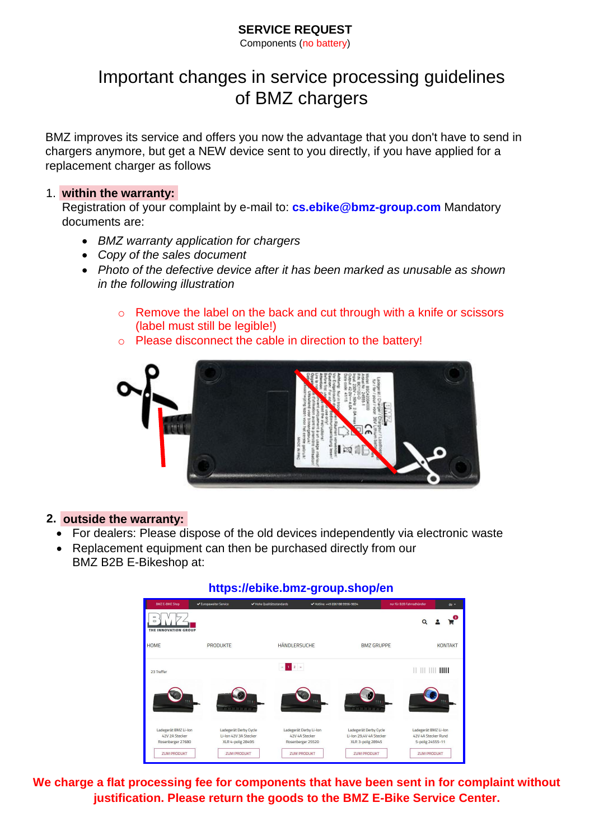### **SERVICE REQUEST**

Components (no battery)

# Important changes in service processing guidelines of BMZ chargers

BMZ improves its service and offers you now the advantage that you don't have to send in chargers anymore, but get a NEW device sent to you directly, if you have applied for a replacement charger as follows

#### 1. **within the warranty:**

Registration of your complaint by e-mail to: **[cs.ebike@bmz-group.com](mailto:cs.ebike@bmz-group.com)** Mandatory documents are:

- *BMZ warranty application for chargers*
- *Copy of the sales document*
- *Photo of the defective device after it has been marked as unusable as shown in the following illustration*
	- o Remove the label on the back and cut through with a knife or scissors (label must still be legible!)
	- o Please disconnect the cable in direction to the battery!



#### **2. outside the warranty:**

- For dealers: Please dispose of the old devices independently via electronic waste
- Replacement equipment can then be purchased directly from our BMZ B2B E-Bikeshop at:



### **We charge a flat processing fee for components that have been sent in for complaint without justification. Please return the goods to the BMZ E-Bike Service Center.**

### **[https://ebike.bmz-group.shop/en](https://ebike.bmz-group.shop/en/produkte/charger)**